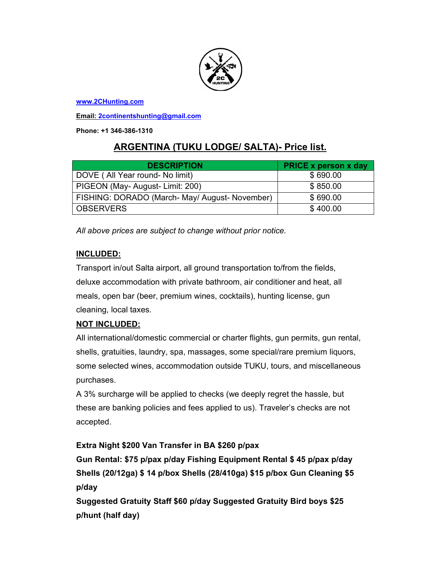

**www.2CHunting.com**

**Email: 2continentshunting@gmail.com**

**Phone: +1 346-386-1310** 

# **ARGENTINA (TUKU LODGE/ SALTA)- Price list.**

| <b>DESCRIPTION</b>                             | <b>PRICE x person x day</b> |
|------------------------------------------------|-----------------------------|
| DOVE (All Year round- No limit)                | \$690.00                    |
| PIGEON (May- August- Limit: 200)               | \$850.00                    |
| FISHING: DORADO (March- May/ August- November) | \$690.00                    |
| <b>OBSERVERS</b>                               | \$400.00                    |

*All above prices are subject to change without prior notice.* 

#### **INCLUDED:**

Transport in/out Salta airport, all ground transportation to/from the fields, deluxe accommodation with private bathroom, air conditioner and heat, all meals, open bar (beer, premium wines, cocktails), hunting license, gun cleaning, local taxes.

## **NOT INCLUDED:**

All international/domestic commercial or charter flights, gun permits, gun rental, shells, gratuities, laundry, spa, massages, some special/rare premium liquors, some selected wines, accommodation outside TUKU, tours, and miscellaneous purchases.

A 3% surcharge will be applied to checks (we deeply regret the hassle, but these are banking policies and fees applied to us). Traveler's checks are not accepted.

## **Extra Night \$200 Van Transfer in BA \$260 p/pax**

**Gun Rental: \$75 p/pax p/day Fishing Equipment Rental \$ 45 p/pax p/day Shells (20/12ga) \$ 14 p/box Shells (28/410ga) \$15 p/box Gun Cleaning \$5 p/day** 

**Suggested Gratuity Staff \$60 p/day Suggested Gratuity Bird boys \$25 p/hunt (half day)**